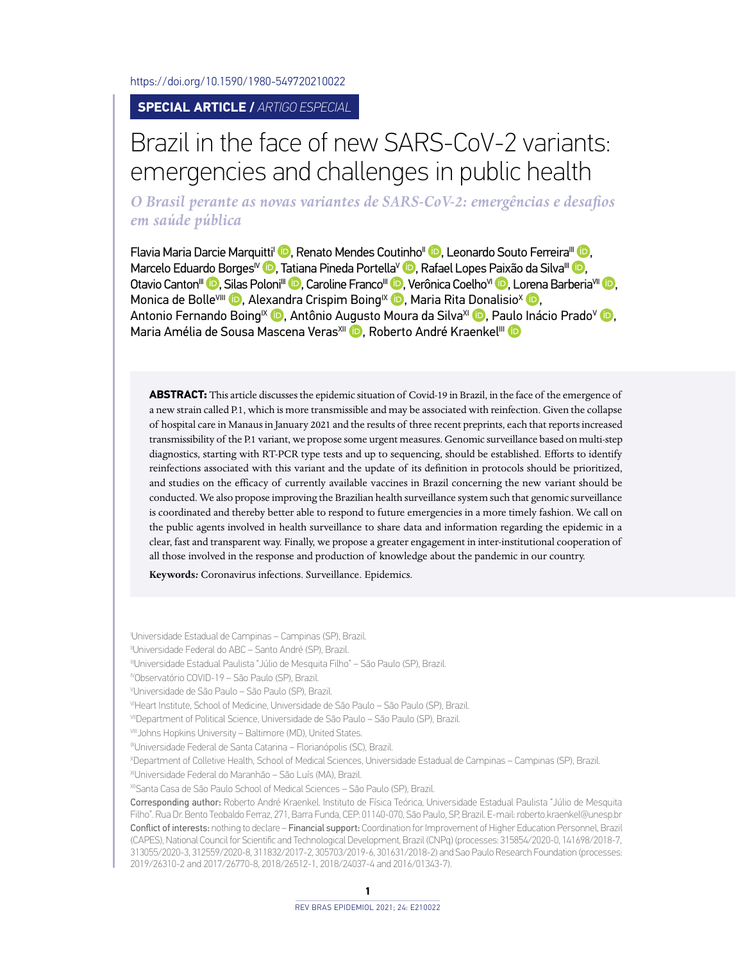<https://doi.org/10.1590/1980-549720210022>

## **SPECIAL ARTICLE /** *ARTIGO ESPECIAL*

## Brazil in the face of new SARS-CoV-2 variants: emergencies and challenges in public health

*O Brasil perante as novas variantes de SARS-CoV-2: emergências e desafios em saúde pública*

Flavia Maria Darcie Marquitti<sup>i</sup> D[,](http://orcid.org/0000-0002-9023-0031) Renato Mendes Coutinho<sup>II</sup> D, Leonardo Souto Ferreira<sup>III</sup> D, Marcelo Eduardo Borges<sup>IV</sup> <sup>(D</sup>)[,](http://orcid.org/0000-0002-9416-6145) Tatiana Pineda Portella<sup>V</sup> D, Rafael Lopes Paixão da Silva<sup>III</sup> D. Otavio Canton<sup>III</sup> **D**[,](http://orcid.org/0000-0001-6319-543X) Silas Poloni<sup>III</sup> D, Caroline Franco<sup>III</sup> D, Verônica Coelho<sup>vi</sup> D, L[oren](http://orcid.org/0000-0003-4457-9897)a Barberia<sup>vII</sup> D, Monica de Bolle<sup>VIII</sup> **D**[,](http://orcid.org/0000-0001-7792-4824) Ale[xand](http://orcid.org/0000-0001-9331-1550)ra Crispim Boing<sup>IX</sup> **D**, Maria Rita Donalisio<sup>X</sup> **D**, Antonio Fernando Boing<sup>IX</sup> **D**, Antônio A[ugus](http://orcid.org/0000-0002-1159-5762)to Moura da Silva<sup>xi</sup> D[,](http://orcid.org/0000-0002-7174-5005) P[aulo](http://orcid.org/0000-0001-5602-5184) Inácio Prado<sup>v</sup> D, Maria Amélia de Sousa Mascena Veras<sup>xii</sup> (D. Roberto André Kraenkel<sup>iii</sup> (D

**ABSTRACT:** This article discusses the epidemic situation of Covid-19 in Brazil, in the face of the emergence of a new strain called P.1, which is more transmissible and may be associated with reinfection. Given the collapse of hospital care in Manaus in January 2021 and the results of three recent preprints, each that reports increased transmissibility of the P.1 variant, we propose some urgent measures. Genomic surveillance based on multi-step diagnostics, starting with RT-PCR type tests and up to sequencing, should be established. Efforts to identify reinfections associated with this variant and the update of its definition in protocols should be prioritized, and studies on the efficacy of currently available vaccines in Brazil concerning the new variant should be conducted. We also propose improving the Brazilian health surveillance system such that genomic surveillance is coordinated and thereby better able to respond to future emergencies in a more timely fashion. We call on the public agents involved in health surveillance to share data and information regarding the epidemic in a clear, fast and transparent way. Finally, we propose a greater engagement in inter-institutional cooperation of all those involved in the response and production of knowledge about the pandemic in our country.

**Keywords***:* Coronavirus infections. Surveillance. Epidemics.

I Universidade Estadual de Campinas – Campinas (SP), Brazil.

IVObservatório COVID-19 – São Paulo (SP), Brazil.

VIHeart Institute, School of Medicine, Universidade de São Paulo – São Paulo (SP), Brazil.

VIII Johns Hopkins University - Baltimore (MD), United States.

X Department of Colletive Health, School of Medical Sciences, Universidade Estadual de Campinas – Campinas (SP), Brazil.

XIUniversidade Federal do Maranhão – São Luís (MA), Brazil.

XIISanta Casa de São Paulo School of Medical Sciences – São Paulo (SP), Brazil.

Corresponding author: Roberto André Kraenkel. Instituto de Física Teórica, Universidade Estadual Paulista "Júlio de Mesquita Filho". Rua Dr. Bento Teobaldo Ferraz, 271, Barra Funda, CEP: 01140-070, São Paulo, SP, Brazil. E-mail: [roberto.kraenkel@unesp.br](mailto:roberto.kraenkel@unesp.br) Conflict of interests: nothing to declare – Financial support: Coordination for Improvement of Higher Education Personnel, Brazil (CAPES), National Council for Scientific and Technological Development, Brazil (CNPq) (processes: 315854/2020-0, 141698/2018-7, 313055/2020-3, 312559/2020-8, 311832/2017-2, 305703/2019-6, 301631/2018-2) and Sao Paulo Research Foundation (processes: 2019/26310-2 and 2017/26770-8, 2018/26512-1, 2018/24037-4 and 2016/01343-7).

IIUniversidade Federal do ABC – Santo André (SP), Brazil.

IIIUniversidade Estadual Paulista "Júlio de Mesquita Filho" – São Paulo (SP), Brazil.

V Universidade de São Paulo – São Paulo (SP), Brazil.

VIIDepartment of Political Science, Universidade de São Paulo – São Paulo (SP), Brazil.

<sup>&</sup>lt;sup>IX</sup>Universidade Federal de Santa Catarina - Florianópolis (SC), Brazil.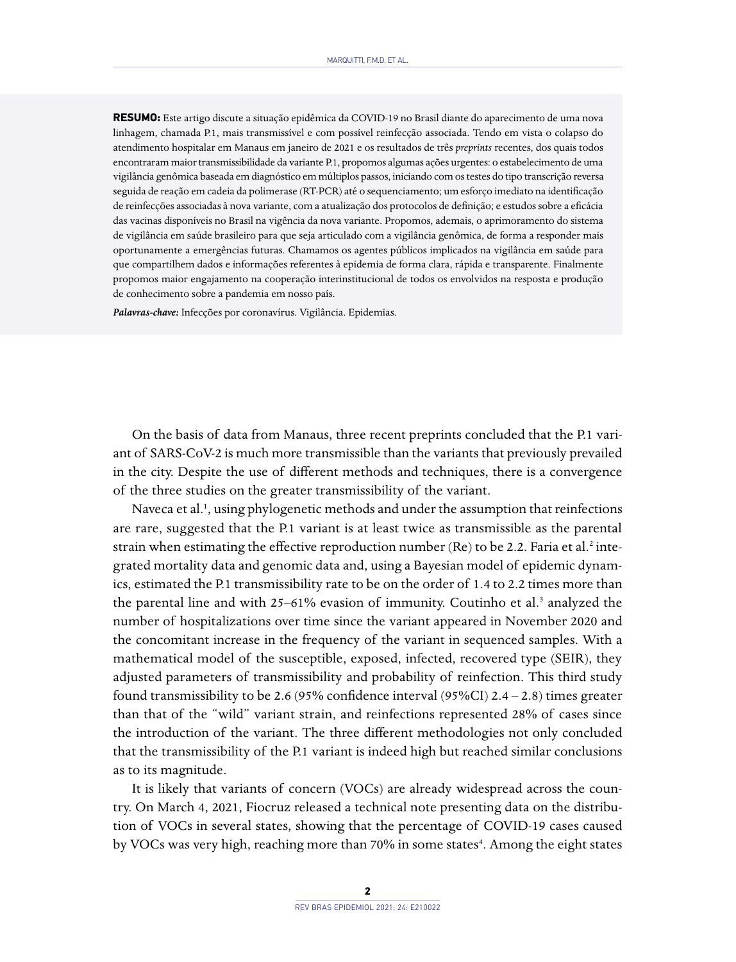**RESUMO:** Este artigo discute a situação epidêmica da COVID-19 no Brasil diante do aparecimento de uma nova linhagem, chamada P.1, mais transmissível e com possível reinfecção associada. Tendo em vista o colapso do atendimento hospitalar em Manaus em janeiro de 2021 e os resultados de três *preprints* recentes, dos quais todos encontraram maior transmissibilidade da variante P.1, propomos algumas ações urgentes: o estabelecimento de uma vigilância genômica baseada em diagnóstico em múltiplos passos, iniciando com os testes do tipo transcrição reversa seguida de reação em cadeia da polimerase (RT-PCR) até o sequenciamento; um esforço imediato na identificação de reinfecções associadas à nova variante, com a atualização dos protocolos de definição; e estudos sobre a eficácia das vacinas disponíveis no Brasil na vigência da nova variante. Propomos, ademais, o aprimoramento do sistema de vigilância em saúde brasileiro para que seja articulado com a vigilância genômica, de forma a responder mais oportunamente a emergências futuras. Chamamos os agentes públicos implicados na vigilância em saúde para que compartilhem dados e informações referentes à epidemia de forma clara, rápida e transparente. Finalmente propomos maior engajamento na cooperação interinstitucional de todos os envolvidos na resposta e produção de conhecimento sobre a pandemia em nosso país.

*Palavras-chave:* Infecções por coronavírus. Vigilância. Epidemias.

On the basis of data from Manaus, three recent preprints concluded that the P.1 variant of SARS-CoV-2 is much more transmissible than the variants that previously prevailed in the city. Despite the use of different methods and techniques, there is a convergence of the three studies on the greater transmissibility of the variant.

Naveca et al.<sup>1</sup>, using phylogenetic methods and under the assumption that reinfections are rare, suggested that the P.1 variant is at least twice as transmissible as the parental strain when estimating the effective reproduction number (Re) to be 2.2. Faria et al.<sup>2</sup> integrated mortality data and genomic data and, using a Bayesian model of epidemic dynamics, estimated the P.1 transmissibility rate to be on the order of 1.4 to 2.2 times more than the parental line and with 25–61% evasion of immunity. Coutinho et al.<sup>3</sup> analyzed the number of hospitalizations over time since the variant appeared in November 2020 and the concomitant increase in the frequency of the variant in sequenced samples. With a mathematical model of the susceptible, exposed, infected, recovered type (SEIR), they adjusted parameters of transmissibility and probability of reinfection. This third study found transmissibility to be 2.6 (95% confidence interval (95%CI) 2.4 – 2.8) times greater than that of the "wild" variant strain, and reinfections represented 28% of cases since the introduction of the variant. The three different methodologies not only concluded that the transmissibility of the P.1 variant is indeed high but reached similar conclusions as to its magnitude.

It is likely that variants of concern (VOCs) are already widespread across the country. On March 4, 2021, Fiocruz released a technical note presenting data on the distribution of VOCs in several states, showing that the percentage of COVID-19 cases caused by VOCs was very high, reaching more than 70% in some states<sup>4</sup>. Among the eight states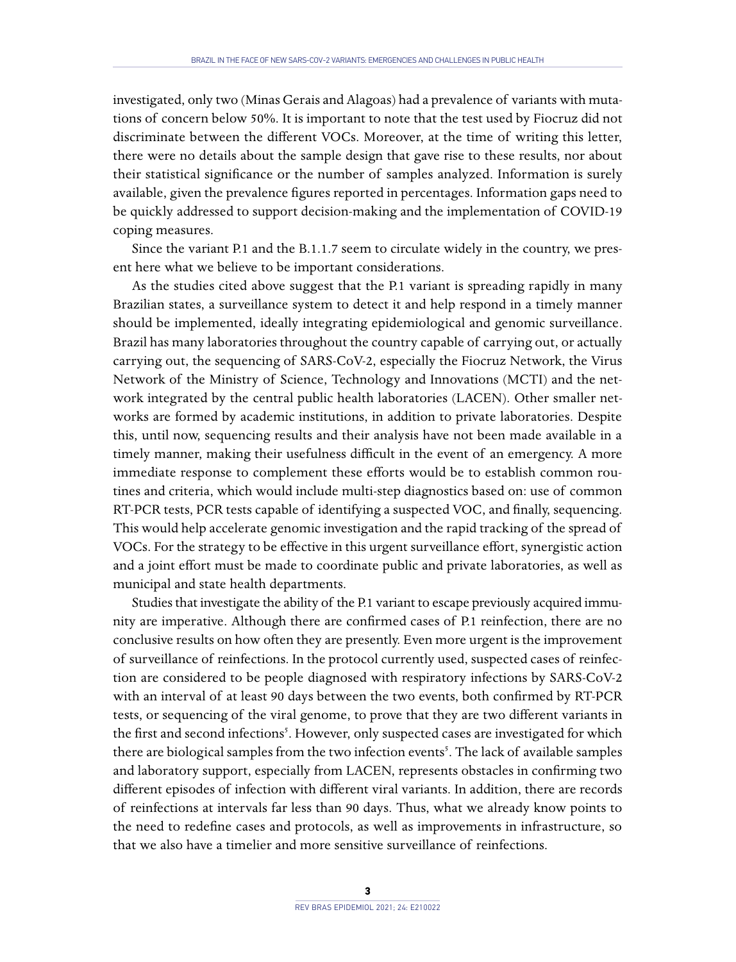investigated, only two (Minas Gerais and Alagoas) had a prevalence of variants with mutations of concern below 50%. It is important to note that the test used by Fiocruz did not discriminate between the different VOCs. Moreover, at the time of writing this letter, there were no details about the sample design that gave rise to these results, nor about their statistical significance or the number of samples analyzed. Information is surely available, given the prevalence figures reported in percentages. Information gaps need to be quickly addressed to support decision-making and the implementation of COVID-19 coping measures.

Since the variant P.1 and the B.1.1.7 seem to circulate widely in the country, we present here what we believe to be important considerations.

As the studies cited above suggest that the P.1 variant is spreading rapidly in many Brazilian states, a surveillance system to detect it and help respond in a timely manner should be implemented, ideally integrating epidemiological and genomic surveillance. Brazil has many laboratories throughout the country capable of carrying out, or actually carrying out, the sequencing of SARS-CoV-2, especially the Fiocruz Network, the Virus Network of the Ministry of Science, Technology and Innovations (MCTI) and the network integrated by the central public health laboratories (LACEN). Other smaller networks are formed by academic institutions, in addition to private laboratories. Despite this, until now, sequencing results and their analysis have not been made available in a timely manner, making their usefulness difficult in the event of an emergency. A more immediate response to complement these efforts would be to establish common routines and criteria, which would include multi-step diagnostics based on: use of common RT-PCR tests, PCR tests capable of identifying a suspected VOC, and finally, sequencing. This would help accelerate genomic investigation and the rapid tracking of the spread of VOCs. For the strategy to be effective in this urgent surveillance effort, synergistic action and a joint effort must be made to coordinate public and private laboratories, as well as municipal and state health departments.

Studies that investigate the ability of the P.1 variant to escape previously acquired immunity are imperative. Although there are confirmed cases of P.1 reinfection, there are no conclusive results on how often they are presently. Even more urgent is the improvement of surveillance of reinfections. In the protocol currently used, suspected cases of reinfection are considered to be people diagnosed with respiratory infections by SARS-CoV-2 with an interval of at least 90 days between the two events, both confirmed by RT-PCR tests, or sequencing of the viral genome, to prove that they are two different variants in the first and second infections<sup>5</sup>. However, only suspected cases are investigated for which there are biological samples from the two infection events<sup>5</sup>. The lack of available samples and laboratory support, especially from LACEN, represents obstacles in confirming two different episodes of infection with different viral variants. In addition, there are records of reinfections at intervals far less than 90 days. Thus, what we already know points to the need to redefine cases and protocols, as well as improvements in infrastructure, so that we also have a timelier and more sensitive surveillance of reinfections.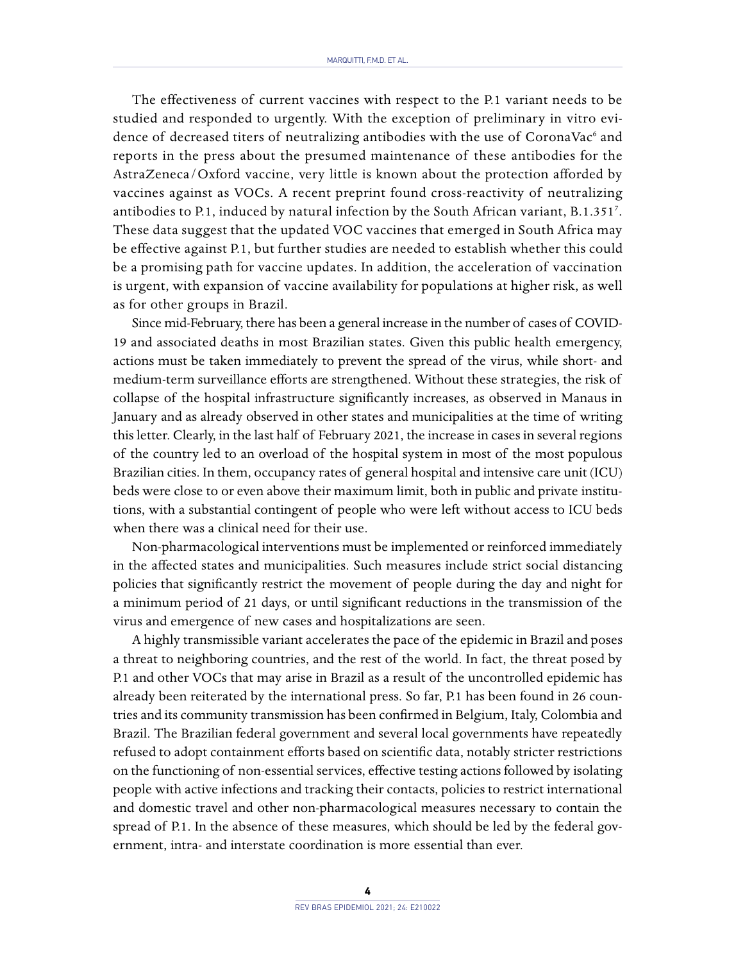The effectiveness of current vaccines with respect to the P.1 variant needs to be studied and responded to urgently. With the exception of preliminary in vitro evidence of decreased titers of neutralizing antibodies with the use of CoronaVac<sup>6</sup> and reports in the press about the presumed maintenance of these antibodies for the AstraZeneca/Oxford vaccine, very little is known about the protection afforded by vaccines against as VOCs. A recent preprint found cross-reactivity of neutralizing antibodies to P.1, induced by natural infection by the South African variant, B.1.3517 . These data suggest that the updated VOC vaccines that emerged in South Africa may be effective against P.1, but further studies are needed to establish whether this could be a promising path for vaccine updates. In addition, the acceleration of vaccination is urgent, with expansion of vaccine availability for populations at higher risk, as well as for other groups in Brazil.

Since mid-February, there has been a general increase in the number of cases of COVID-19 and associated deaths in most Brazilian states. Given this public health emergency, actions must be taken immediately to prevent the spread of the virus, while short- and medium-term surveillance efforts are strengthened. Without these strategies, the risk of collapse of the hospital infrastructure significantly increases, as observed in Manaus in January and as already observed in other states and municipalities at the time of writing this letter. Clearly, in the last half of February 2021, the increase in cases in several regions of the country led to an overload of the hospital system in most of the most populous Brazilian cities. In them, occupancy rates of general hospital and intensive care unit (ICU) beds were close to or even above their maximum limit, both in public and private institutions, with a substantial contingent of people who were left without access to ICU beds when there was a clinical need for their use.

Non-pharmacological interventions must be implemented or reinforced immediately in the affected states and municipalities. Such measures include strict social distancing policies that significantly restrict the movement of people during the day and night for a minimum period of 21 days, or until significant reductions in the transmission of the virus and emergence of new cases and hospitalizations are seen.

A highly transmissible variant accelerates the pace of the epidemic in Brazil and poses a threat to neighboring countries, and the rest of the world. In fact, the threat posed by P.1 and other VOCs that may arise in Brazil as a result of the uncontrolled epidemic has already been reiterated by the international press. So far, P.1 has been found in 26 countries and its community transmission has been confirmed in Belgium, Italy, Colombia and Brazil. The Brazilian federal government and several local governments have repeatedly refused to adopt containment efforts based on scientific data, notably stricter restrictions on the functioning of non-essential services, effective testing actions followed by isolating people with active infections and tracking their contacts, policies to restrict international and domestic travel and other non-pharmacological measures necessary to contain the spread of P.1. In the absence of these measures, which should be led by the federal government, intra- and interstate coordination is more essential than ever.